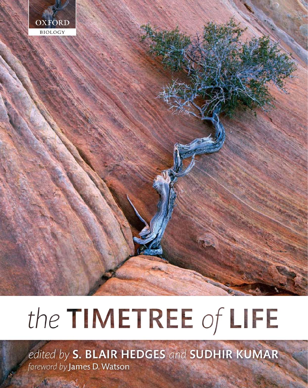

# the TIMETREE of LIFE

edited by S. BLAIR HEDGES and SUDHIR KUMAR foreword by James D. Watson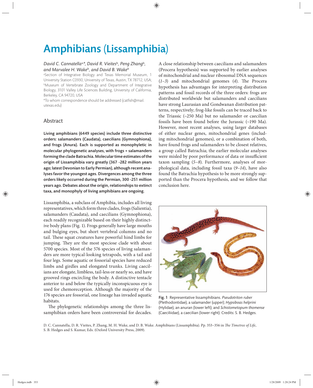# Amphibians (Lissamphibia)

## *David C. Cannatella*a,*\*, David R. Vieites*<sup>b</sup>*, Peng Zhang*<sup>b</sup>*, and Marvalee H. Wake*<sup>b</sup>*, and David B. Wake*<sup>b</sup>

a Section of Integrative Biology and Texas Memorial Museum, 1 University Station C0930, University of Texas, Austin, TX 78712, USA; **Museum of Vertebrate Zoology and Department of Integrative** Biology, 3101 Valley Life Sciences Building, University of California, Berkeley, CA 94720, USA

\*To whom correspondence should be addressed (catfish@mail. utexas.edu)

# Abstract

Living amphibians (6449 species) include three distinctive orders: salamanders (Caudata), caecilians (Gymnophiona), and frogs (Anura). Each is supported as monophyletic in molecular phylogenetic analyses, with frogs + salamanders forming the clade Batrachia. Molecular time estimates of the origin of Lissamphibia vary greatly (367 -282 million years ago; latest Devonian to Early Permian), although recent analyses favor the youngest ages. Divergences among the three orders likely occurred during the Permian, 300 -251 million years ago. Debates about the origin, relationships to extinct taxa, and monophyly of living amphibians are ongoing.

Lissamphibia, a subclass of Amphibia, includes all living representatives, which form three clades, frogs (Salientia), salamanders (Caudata), and caecilians (Gymnophiona), each readily recognizable based on their highly distinctive body plans (Fig. 1). Frogs generally have large mouths and bulging eyes, but short vertebral columns and no tail. These squat creatures have powerful hind limbs for jumping. They are the most speciose clade with about 5700 species. Most of the 576 species of living salamanders are more typical-looking tetrapods, with a tail and four legs. Some aquatic or fossorial species have reduced limbs and girdles and elongated trunks. Living caecilians are elongate, limbless, tail-less or nearly so, and have grooved rings encircling the body. A distinctive tentacle anterior to and below the typically inconspicuous eye is used for chemoreception. Although the majority of the 176 species are fossorial, one lineage has invaded aquatic habitats.

The phylogenetic relationships among the three lissamphibian orders have been controversial for decades. A close relationship between caecilians and salamanders (Procera hypothesis) was supported by earlier analyses of mitochondrial and nuclear ribosomal DNA sequences  $(1-3)$  and mitochondrial genomes  $(4)$ . The Procera hypothesis has advantages for interpreting distribution patterns and fossil records of the three orders: frogs are distributed worldwide but salamanders and caecilians have strong Laurasian and Gondwanan distribution patterns, respectively; frog-like fossils can be traced back to the Triassic  $(-250$  Ma) but no salamander or caecilian fossils have been found before the Jurassic (~190 Ma). However, most recent analyses, using larger databases of either nuclear genes, mitochondrial genes (including mitochondrial genomes), or a combination of both, have found frogs and salamanders to be closest relatives, a group called Batrachia; the earlier molecular analyses were misled by poor performance of data or insufficient taxon sampling  $(5–8)$ . Furthermore, analyses of morphological data, including fossil taxa (9-14), have also found the Batrachia hypothesis to be more strongly supported than the Procera hypothesis, and we follow that conclusion here.



Fig. 1 Representative lissamphibians. *Pseudotriton ruber* (Plethodontidae), a salamander (upper); *Hypsiboas helprini* (Hylidae), an anuran (lower left); and *Schistometopum thomense* (Caeciliidae), a caecilian (lower right). Credits: S. B. Hedges.

D. C. Cannatella, D. R. Vieites, P. Zhang, M. H. Wake, and D. B. Wake. Amphibians (Lissamphibia). Pp. 353-356 in *The Timetree of Life*, S. B. Hedges and S. Kumar, Eds. (Oxford University Press, 2009).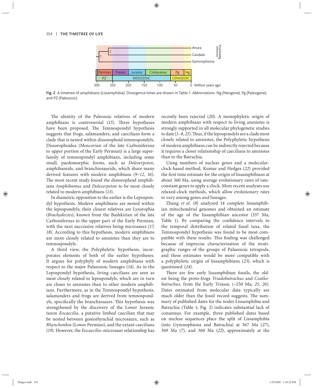

Fig. 2 A timetree of amphibians (Lissamphibia). Divergence times are shown in Table 1. *Abbreviations*: Ng (Neogene), Pg (Paleogene), and PZ (Paleozoic).

The identity of the Paleozoic relatives of modern amphibians is controversial (15). Three hypotheses have been proposed. The Temnospondyl hypothesis suggests that frogs, salamanders, and caecilians form a clade that is nested within dissorophoid temnospondyls. Dissorophoidea (Moscovian of the late Carboniferous to upper portion of the Early Permian) is a large superfamily of temnospondyl amphibians, including some small, paedomorphic forms, such as *Doleserpeton*, amphibamids, and branchiosaurids, which share many derived features with modern amphibians (*9*–*12*, *16*). The most recent study found the dissorophoid amphibians *Amphibamus* and *Doleserpeton* to be most closely related to modern amphibians (*13*).

In diametric opposition to the earlier is the Lepospondyl hypothesis. Modern amphibians are nested within the lepospondyls; their closest relatives are Lysorophia (*Brachydectes*), known from the Bashkirian of the late Carboniferous to the upper part of the Early Permian, with the next successive relatives being microsaurs (*17*, *18*). According to this hypothesis, modern amphibians are more closely related to amniotes than they are to temnospondyls.

A third view, the Polyphyletic hypothesis, incorporates elements of both of the earlier hypotheses. It argues for polyphyly of modern amphibians with respect to the major Palaeozoic lineages (*14*). As in the Lepospondyl hypothesis, living caecilians are seen as most closely related to lepospondyls, which are in turn are closer to amniotes than to other modern amphibians. Furthermore, as in the Temnospondyl hypothesis, salamanders and frogs are derived from temnospondyls, specifically the branchiosaurs. This hypothesis was strengthened by the discovery of the Lower Jurassic taxon *Eocaecilia*, a putative limbed caecilian that may be nested between goniorhynchid microsaurs, such as *Rhynchonkos* (Lower Permian), and the extant caecilians (*19*). However, the *Eocaecilia*–microsaur relationship has recently been rejected (*20*). A monophyletic origin of modern amphibians with respect to living amniotes is strongly supported in all molecular phylogenetic studies to date (1-8, 21). Thus, if the lepospondyls are a clade most closely related to amniotes, the Polyphyletic hypothesis of modern amphibians can be indirectly rejected because it requires a closer relationship of caecilians to amniotes than to the Batrachia.

Using numbers of nuclear genes and a molecularclock-based method, Kumar and Hedges (*22*) provided the first time estimate for the origin of lissamphibians at about 360 Ma, using average evolutionary rates of rateconstant genes to apply a clock. More recent analyses use relaxed-clock methods, which allow evolutionary rates to vary among genes *and* lineages.

Zhang *et al.* (*8*) analyzed 14 complete lissamphibian mitochondrial genomes and obtained an estimate of the age of the lissamphibian ancestor (337 Ma, Table 1). By comparing the confidence intervals to the temporal distribution of related fossil taxa, the Temnospondyl hypothesis was found to be most compatible with these results. This finding was challenged because of imprecise characterization of the stratigraphic ranges of the groups of Palaeozoic tetrapods, and these estimates would be more compatible with a polyphyletic origin of lissamphibians (*23*), which is questioned (*24*).

There are few early lissamphibian fossils, the oldest being the proto-frogs *Triadobatrachus* and *Czatkobatrachus*, from the Early Triassic (~250 Ma; *25*, *26*). Dates estimated from molecular data typically are much older than the fossil record suggests. The summary of published dates for the nodes Lissamphibia and Batrachia (Table 1; Fig. 2) indicates substantial lack of consensus. For example, three published dates based on nuclear sequences place the split of Lissamphibia (into Gymnophiona and Batrachia) at 367 Ma (*27*), 369 Ma (*7*), and 360 Ma (*22*), approximately at the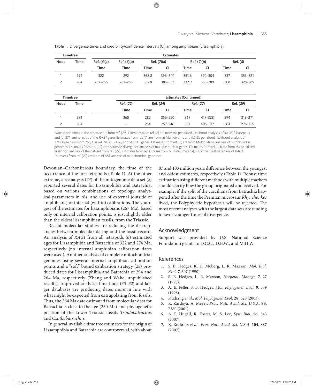| <b>Timetree</b> |             | <b>Estimates</b> |             |             |         |             |         |          |         |  |  |
|-----------------|-------------|------------------|-------------|-------------|---------|-------------|---------|----------|---------|--|--|
| Node            | <b>Time</b> | Ref. (6)(a)      | Ref. (6)(b) | Ref. (7)(a) |         | Ref. (7)(b) |         | Ref. (8) |         |  |  |
|                 |             | <b>Time</b>      | <b>Time</b> | Time        | CI      | Time        | CI      | Time     | CI      |  |  |
|                 | 294         | 322              | 292         | 368.8       | 396-344 | 351.6       | 370-304 | 337      | 353-321 |  |  |
| 2               | 264         | 267-266          | 267-266     | 357.8       | 385-333 | 332.9       | 353-289 | 308      | 328-289 |  |  |

Table 1. Divergence times and credibility/confidence intervals (CI) among amphibians (Lissamphibia).

| <b>Timetree</b> |      |                   | <b>Estimates (Continued)</b> |           |           |         |           |         |  |  |  |
|-----------------|------|-------------------|------------------------------|-----------|-----------|---------|-----------|---------|--|--|--|
| Node            | Time | Ref. (22)         | Ref. (24)                    |           | Ref. (27) |         | Ref. (29) |         |  |  |  |
|                 |      | <b>Time</b>       | Time                         | <b>CI</b> | Time      |         | Time      | CI      |  |  |  |
|                 | 294  | 360               | 282                          | 356-250   | 367       | 417-328 | 294       | 319-271 |  |  |  |
|                 | 264  | $\qquad \qquad =$ | 254                          | 257–246   | 357       | 405-317 | 264       | 276-255 |  |  |  |

Note: Node times in the timetree are from ref. (29). Estimates from ref. (6) are from r8s penalized likelihood analyses of (a) 2613 basepairs and (b) 871 amino acids of the RAG1 gene. Estimates from ref. (7) are from (a) Multidivtime and (b) r8s penalized likelihood analysis of 3747 base pairs from 16S, CXCR4, NCX1, RAG1, and SLC8A3 genes. Estimates from ref. (8) are from Multidivtime analysis of mitochondrial genomes. Estimates from ref. (22) are sequence divergence analysis of multiple nuclear genes. Estimates from ref. (24) are from r8s penalized likelihood analysis of the dataset from ref. (27). Estimates from ref. (27) are from Multidivtime analysis of the 1368 basepairs of RAG1. Estimates from ref. (29) are from BEAST analysis of mitochondrial genomes.

Devonian–Carboniferous boundary, the time of the occurrence of the first tetrapods (Table 1). At the other extreme, a reanalysis (*24*) of the mitogenome data set (*8*) reported several dates for Lissamphibia and Batrachia, based on various combinations of topology, analytical parameters in r8s, and use of external (outside of amphibians) or internal (within) calibrations. The youngest of the estimates for lissamphibians (267 Ma), based only on internal calibration points, is just slightly older than the oldest lissamphibian fossils, from the Triassic.

Recent molecular studies are reducing the discrepancies between molecular dating and the fossil record. An analysis of *RAG1* from all tetrapods (*6*) estimated ages for Lissamphibia and Batrachia of 322 and 274 Ma, respectively (no internal amphibian calibration dates were used). Another analysis of complete mitochondrial genomes using several internal amphibian calibration points and a "soft" bound calibration strategy (28) produced dates for Lissamphibia and Batrachia of 294 and 264 Ma, respectively (Zhang and Wake, unpublished results). Improved analytical methods (*30–32*) and larger databases are producing dates more in line with what might be expected from extrapolating from fossils. Thus, the 264 Ma date estimated from molecular data for Batrachia is close to the age (250 Ma) and phylogenetic position of the Lower Triassic fossils *Triadobatrachus*  and *Czatkobatrachus*.

In general, available time tree estimates for the origin of Lissamphibia and Batrachia are controversial, with about

87 and 103 million years difference between the youngest and oldest estimates, respectively (Table 1). Robust time estimation using different methods with multiple markers should clarify how the group originated and evolved. For example, if the split of the caecilians from Batrachia happened after the time the Permian microsaur *Rhynchonkos* lived, the Polyphyletic hypothesis will be rejected. The most recent analyses with the largest data sets are tending to favor younger times of divergence.

### Acknowledgment

Support was provided by U.S. National Science Foundation grants to D.C.C., D.B.W., and M.H.W.

#### References

- 1. S. B. Hedges, K. D. Moberg, L. R. Maxson, *Mol. Biol. Evol.* **7**, 607 (1990).
- 2. S. B. Hedges, L. R. Maxson, *Herpetol. Monogr.* **7**, 27 (1993).
- 3. A. E. Feller, S. B. Hedges, *Mol. Phylogenet. Evol.* **9**, 509 (1998).
- 4. P. Zhang *et al.*, *Mol. Phylogenet. Evol.* **28**, 620 (2003).
- 5. R. Zardoya, A. Meyer, *Proc. Natl. Acad. Sci. U.S.A.* **98**, 7380 (2001).
- 6. A. F. Hugall, R. Foster, M. S. Lee, *Syst. Biol.* **56**, 543 (2007).
- 7. K. Roelants *et al.*, *Proc. Natl. Acad. Sci. U.S.A.* **104**, 887 (2007).